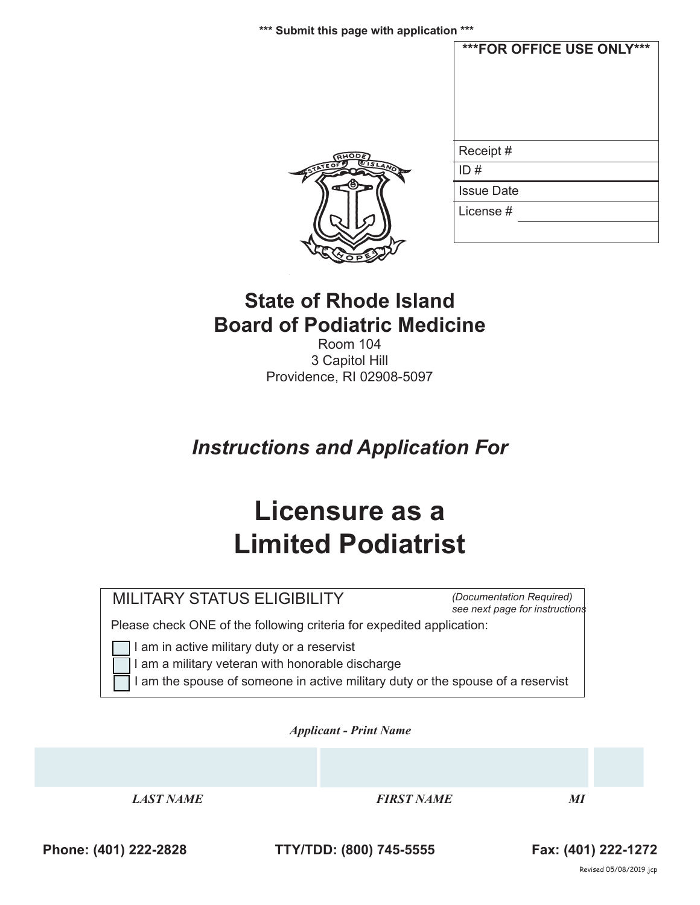**\*\*\* Submit this page with application \*\*\***





## **State of Rhode Island Board of Podiatric Medicine**

Room 104 3 Capitol Hill Providence, RI 02908-5097

# *Instructions and Application For*

# **Licensure as a Limited Podiatrist**

## MILITARY STATUS ELIGIBILITY

*(Documentation Required) see next page for instructions*

Please check ONE of the following criteria for expedited application:

I am in active military duty or a reservist

- I am a military veteran with honorable discharge
- I am the spouse of someone in active military duty or the spouse of a reservist

*Applicant - Print Name* 

*LAST NAME FIRST NAME MI*

**Phone: (401) 222-2828 TTY/TDD: (800) 745-5555 Fax: (401) 222-1272**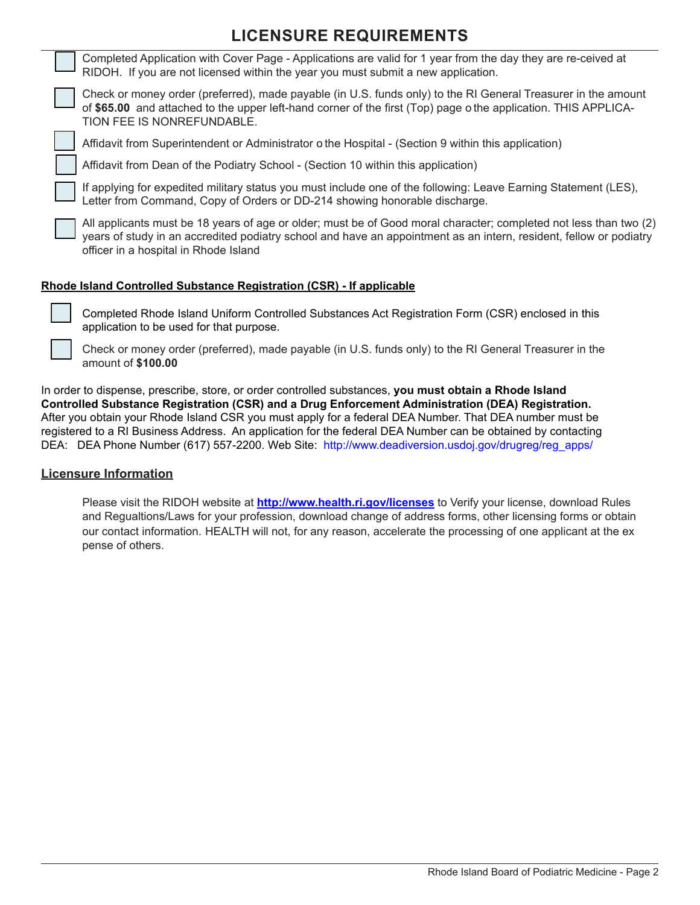### **LICENSURE REQUIREMENTS**

|  | Completed Application with Cover Page - Applications are valid for 1 year from the day they are re-ceived at<br>RIDOH. If you are not licensed within the year you must submit a new application.                                                                                |
|--|----------------------------------------------------------------------------------------------------------------------------------------------------------------------------------------------------------------------------------------------------------------------------------|
|  | Check or money order (preferred), made payable (in U.S. funds only) to the RI General Treasurer in the amount<br>of \$65.00 and attached to the upper left-hand corner of the first (Top) page o the application. THIS APPLICA-<br>TION FEE IS NONREFUNDABLE.                    |
|  | Affidavit from Superintendent or Administrator o the Hospital - (Section 9 within this application)                                                                                                                                                                              |
|  | Affidavit from Dean of the Podiatry School - (Section 10 within this application)                                                                                                                                                                                                |
|  | If applying for expedited military status you must include one of the following: Leave Earning Statement (LES),<br>Letter from Command, Copy of Orders or DD-214 showing honorable discharge.                                                                                    |
|  | All applicants must be 18 years of age or older; must be of Good moral character; completed not less than two (2)<br>years of study in an accredited podiatry school and have an appointment as an intern, resident, fellow or podiatry<br>officer in a hospital in Rhode Island |
|  |                                                                                                                                                                                                                                                                                  |

#### **Rhode Island Controlled Substance Registration (CSR) - If applicable**



Completed Rhode Island Uniform Controlled Substances Act Registration Form (CSR) enclosed in this application to be used for that purpose.

Check or money order (preferred), made payable (in U.S. funds only) to the RI General Treasurer in the amount of **\$100.00** 

In order to dispense, prescribe, store, or order controlled substances, **you must obtain a Rhode Island Controlled Substance Registration (CSR) and a Drug Enforcement Administration (DEA) Registration.** After you obtain your Rhode Island CSR you must apply for a federal DEA Number. That DEA number must be registered to a RI Business Address. An application for the federal DEA Number can be obtained by contacting DEA: DEA Phone Number (617) 557-2200. Web Site: http://www.deadiversion.usdoj.gov/drugreg/reg\_apps/

#### **Licensure Information**

Please visit the RIDOH website at **http://www.health.ri.gov/licenses** to Verify your license, download Rules and Regualtions/Laws for your profession, download change of address forms, other licensing forms or obtain our contact information. HEALTH will not, for any reason, accelerate the processing of one applicant at the ex pense of others.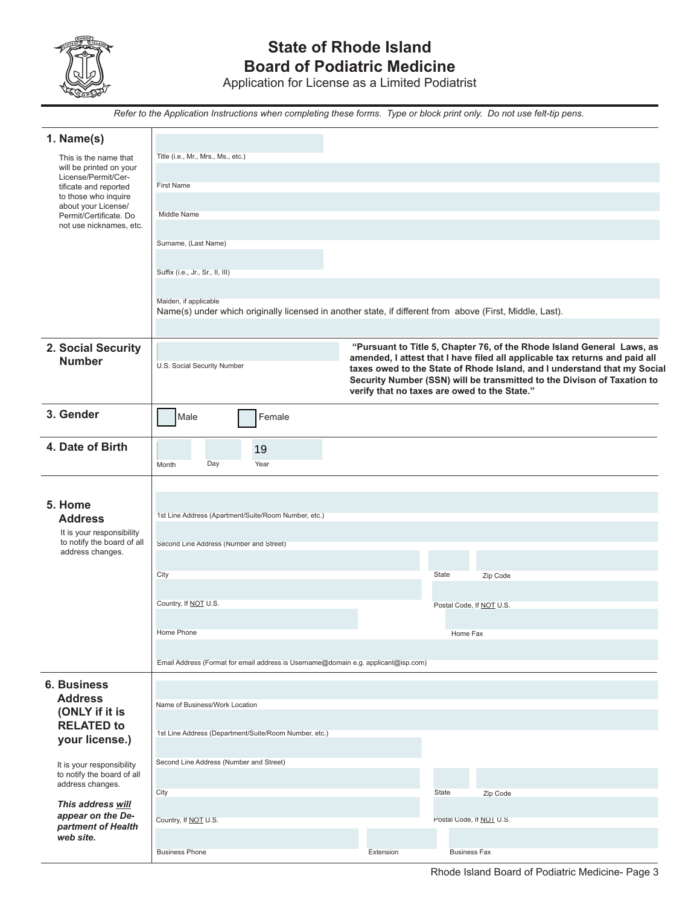

## **State of Rhode Island Board of Podiatric Medicine**

Application for License as a Limited Podiatrist

*Refer to the Application Instructions when completing these forms. Type or block print only. Do not use felt-tip pens.*

| 1. Name(s)                                              |                                                                                                          |                                              |                                                                                                                                                         |
|---------------------------------------------------------|----------------------------------------------------------------------------------------------------------|----------------------------------------------|---------------------------------------------------------------------------------------------------------------------------------------------------------|
| This is the name that                                   | Title (i.e., Mr., Mrs., Ms., etc.)                                                                       |                                              |                                                                                                                                                         |
| will be printed on your<br>License/Permit/Cer-          |                                                                                                          |                                              |                                                                                                                                                         |
| tificate and reported                                   | <b>First Name</b>                                                                                        |                                              |                                                                                                                                                         |
| to those who inquire<br>about your License/             |                                                                                                          |                                              |                                                                                                                                                         |
| Permit/Certificate. Do<br>not use nicknames, etc.       | Middle Name                                                                                              |                                              |                                                                                                                                                         |
|                                                         | Surname, (Last Name)                                                                                     |                                              |                                                                                                                                                         |
|                                                         |                                                                                                          |                                              |                                                                                                                                                         |
|                                                         | Suffix (i.e., Jr., Sr., II, III)                                                                         |                                              |                                                                                                                                                         |
|                                                         |                                                                                                          |                                              |                                                                                                                                                         |
|                                                         | Maiden, if applicable                                                                                    |                                              |                                                                                                                                                         |
|                                                         | Name(s) under which originally licensed in another state, if different from above (First, Middle, Last). |                                              |                                                                                                                                                         |
|                                                         |                                                                                                          |                                              |                                                                                                                                                         |
| 2. Social Security                                      |                                                                                                          |                                              | "Pursuant to Title 5, Chapter 76, of the Rhode Island General Laws, as                                                                                  |
| <b>Number</b>                                           | U.S. Social Security Number                                                                              |                                              | amended, I attest that I have filed all applicable tax returns and paid all<br>taxes owed to the State of Rhode Island, and I understand that my Social |
|                                                         |                                                                                                          |                                              | Security Number (SSN) will be transmitted to the Divison of Taxation to                                                                                 |
|                                                         |                                                                                                          | verify that no taxes are owed to the State." |                                                                                                                                                         |
| 3. Gender                                               | Male<br>Female                                                                                           |                                              |                                                                                                                                                         |
|                                                         |                                                                                                          |                                              |                                                                                                                                                         |
| 4. Date of Birth                                        | 19                                                                                                       |                                              |                                                                                                                                                         |
|                                                         | Day<br>Year<br>Month                                                                                     |                                              |                                                                                                                                                         |
|                                                         |                                                                                                          |                                              |                                                                                                                                                         |
|                                                         |                                                                                                          |                                              |                                                                                                                                                         |
| 5. Home                                                 | 1st Line Address (Apartment/Suite/Room Number, etc.)                                                     |                                              |                                                                                                                                                         |
| <b>Address</b><br>It is your responsibility             |                                                                                                          |                                              |                                                                                                                                                         |
| to notify the board of all                              | Second Line Address (Number and Street)                                                                  |                                              |                                                                                                                                                         |
| address changes.                                        |                                                                                                          |                                              |                                                                                                                                                         |
|                                                         | City                                                                                                     | State                                        | Zip Code                                                                                                                                                |
|                                                         |                                                                                                          |                                              |                                                                                                                                                         |
|                                                         | Country, If NOT U.S.                                                                                     |                                              | Postal Code, If NOT U.S.                                                                                                                                |
|                                                         |                                                                                                          |                                              |                                                                                                                                                         |
|                                                         | Home Phone                                                                                               |                                              | Home Fax                                                                                                                                                |
|                                                         | Email Address (Format for email address is Username@domain e.g. applicant@isp.com)                       |                                              |                                                                                                                                                         |
|                                                         |                                                                                                          |                                              |                                                                                                                                                         |
| <b>6. Business</b>                                      |                                                                                                          |                                              |                                                                                                                                                         |
| <b>Address</b><br>(ONLY if it is                        | Name of Business/Work Location                                                                           |                                              |                                                                                                                                                         |
| <b>RELATED to</b>                                       |                                                                                                          |                                              |                                                                                                                                                         |
| your license.)                                          | 1st Line Address (Department/Suite/Room Number, etc.)                                                    |                                              |                                                                                                                                                         |
|                                                         |                                                                                                          |                                              |                                                                                                                                                         |
| It is your responsibility<br>to notify the board of all | Second Line Address (Number and Street)                                                                  |                                              |                                                                                                                                                         |
| address changes.                                        |                                                                                                          | State                                        |                                                                                                                                                         |
| This address will                                       | City                                                                                                     |                                              | Zip Code                                                                                                                                                |
| appear on the De-                                       | Country, If NOT U.S.                                                                                     |                                              | Postal Code, If NOT U.S.                                                                                                                                |
| partment of Health<br>web site.                         |                                                                                                          |                                              |                                                                                                                                                         |
|                                                         | <b>Business Phone</b>                                                                                    | Extension                                    | <b>Business Fax</b>                                                                                                                                     |

Rhode Island Board of Podiatric Medicine- Page 3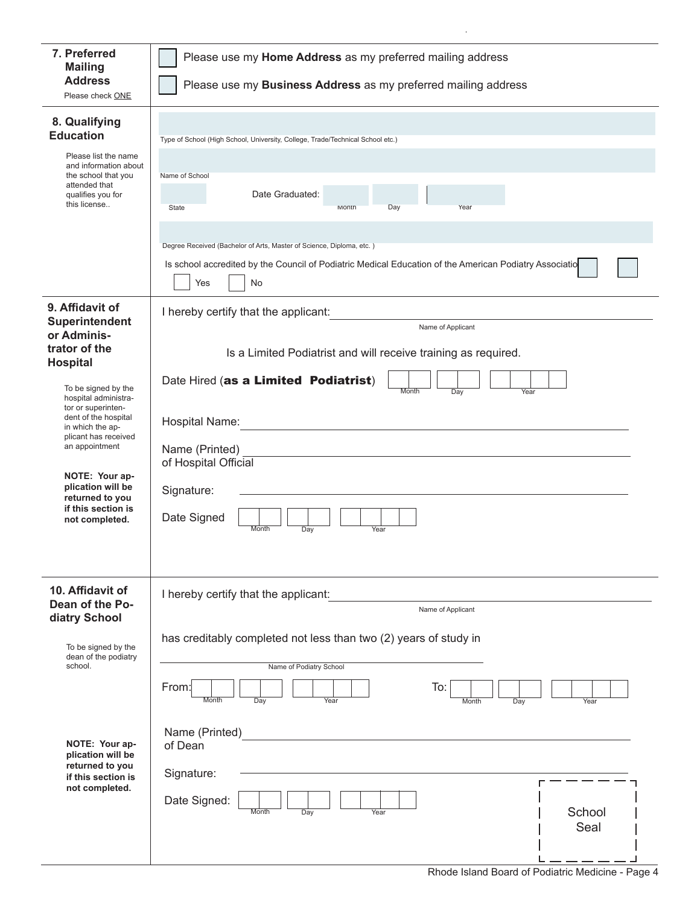| 7. Preferred<br><b>Mailing</b>                                                                                                                                                                                                                            | Please use my Home Address as my preferred mailing address                                                                                                                                                                   |  |  |  |
|-----------------------------------------------------------------------------------------------------------------------------------------------------------------------------------------------------------------------------------------------------------|------------------------------------------------------------------------------------------------------------------------------------------------------------------------------------------------------------------------------|--|--|--|
| <b>Address</b><br>Please check ONE                                                                                                                                                                                                                        | Please use my Business Address as my preferred mailing address                                                                                                                                                               |  |  |  |
| 8. Qualifying<br><b>Education</b><br>Please list the name<br>and information about<br>the school that you<br>attended that<br>qualifies you for<br>this license                                                                                           | Type of School (High School, University, College, Trade/Technical School etc.)<br>Name of School<br>Date Graduated:<br>State<br>Month<br>Day<br>Year<br>Degree Received (Bachelor of Arts, Master of Science, Diploma, etc.) |  |  |  |
|                                                                                                                                                                                                                                                           | Is school accredited by the Council of Podiatric Medical Education of the American Podiatry Associatio<br>Yes<br>No                                                                                                          |  |  |  |
| 9. Affidavit of<br>Superintendent<br>or Adminis-<br>trator of the<br><b>Hospital</b>                                                                                                                                                                      | I hereby certify that the applicant:<br>Name of Applicant<br>Is a Limited Podiatrist and will receive training as required.                                                                                                  |  |  |  |
| To be signed by the<br>hospital administra-<br>tor or superinten-<br>dent of the hospital<br>in which the ap-<br>plicant has received<br>an appointment<br>NOTE: Your ap-<br>plication will be<br>returned to you<br>if this section is<br>not completed. | Date Hired (as a Limited Podiatrist)<br>Month<br>Day<br>Year<br>Hospital Name:<br>Name (Printed)<br>of Hospital Official<br>Signature:<br>Date Signed<br>Month<br>Day<br>Year                                                |  |  |  |
| 10. Affidavit of<br>Dean of the Po-<br>diatry School                                                                                                                                                                                                      | I hereby certify that the applicant:<br>Name of Applicant<br>has creditably completed not less than two (2) years of study in                                                                                                |  |  |  |
| To be signed by the<br>dean of the podiatry<br>school.<br>NOTE: Your ap-<br>plication will be<br>returned to you<br>if this section is<br>not completed.                                                                                                  | Name of Podiatry School<br>From:<br>To:<br>$\overline{Day}$<br>Year<br>Month<br>Month<br>Year<br>Day<br>Name (Printed)<br>of Dean<br>Signature:<br>Date Signed:<br>School<br>Month<br>Year<br>Day<br>Seal                    |  |  |  |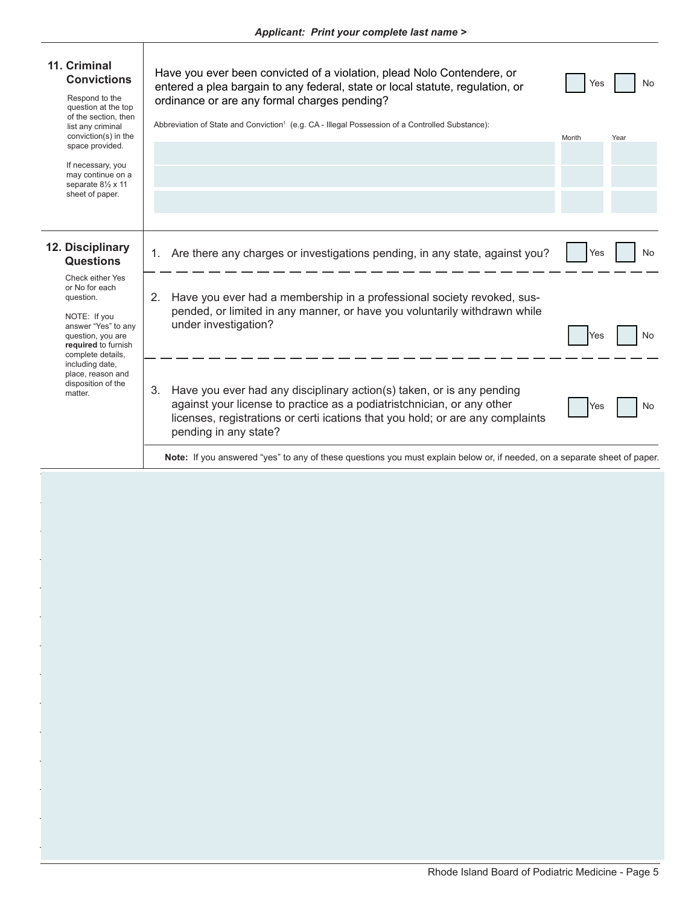Τ

| 11. Criminal<br><b>Convictions</b><br>Respond to the<br>question at the top<br>of the section, then<br>list any criminal<br>conviction(s) in the<br>space provided.<br>If necessary, you<br>may continue on a<br>separate 81/2 x 11<br>sheet of paper. | Have you ever been convicted of a violation, plead Nolo Contendere, or<br>entered a plea bargain to any federal, state or local statute, regulation, or<br>ordinance or are any formal charges pending?<br>Abbreviation of State and Conviction <sup>1</sup> (e.g. CA - Illegal Possession of a Controlled Substance):<br>Month | No<br>Yes<br>Year |
|--------------------------------------------------------------------------------------------------------------------------------------------------------------------------------------------------------------------------------------------------------|---------------------------------------------------------------------------------------------------------------------------------------------------------------------------------------------------------------------------------------------------------------------------------------------------------------------------------|-------------------|
| 12. Disciplinary<br><b>Questions</b><br>Check either Yes<br>or No for each                                                                                                                                                                             | Are there any charges or investigations pending, in any state, against you?<br>1.                                                                                                                                                                                                                                               | No<br>Yes         |
| question.<br>NOTE: If you<br>answer "Yes" to any<br>question, you are<br>required to furnish<br>complete details,<br>including date,                                                                                                                   | Have you ever had a membership in a professional society revoked, sus-<br>2.<br>pended, or limited in any manner, or have you voluntarily withdrawn while<br>under investigation?                                                                                                                                               | No<br>Yes         |
| place, reason and<br>disposition of the<br>matter.                                                                                                                                                                                                     | 3.<br>Have you ever had any disciplinary action(s) taken, or is any pending<br>against your license to practice as a podiatristchnician, or any other<br>licenses, registrations or certi ications that you hold; or are any complaints<br>pending in any state?                                                                | No<br>Yes         |
|                                                                                                                                                                                                                                                        | Note: If you answered "yes" to any of these questions you must explain below or, if needed, on a separate sheet of paper.                                                                                                                                                                                                       |                   |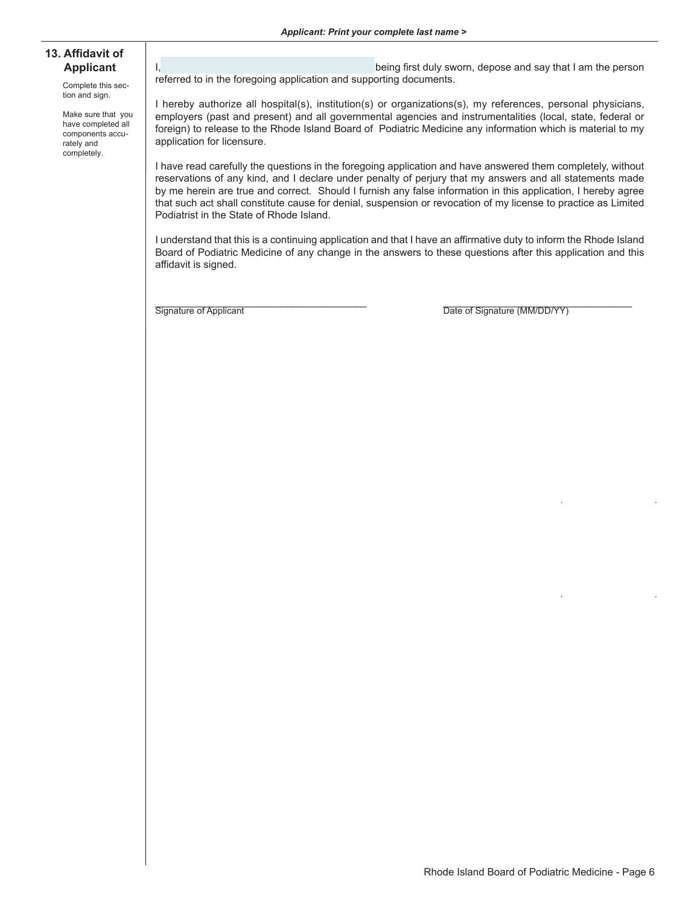#### **13. Affidavit of Applicant**

Complete this section and sign.

Make sure that you have completed all components accurately and completely.

I, \_\_\_\_\_\_\_\_\_\_\_\_\_\_\_\_\_\_\_\_\_\_\_\_\_\_\_\_\_\_\_\_\_\_\_\_, being first duly sworn, depose and say that I am the person referred to in the foregoing application and supporting documents.

I hereby authorize all hospital(s), institution(s) or organizations(s), my references, personal physicians, employers (past and present) and all governmental agencies and instrumentalities (local, state, federal or foreign) to release to the Rhode Island Board of Podiatric Medicine any information which is material to my application for licensure.

I have read carefully the questions in the foregoing application and have answered them completely, without reservations of any kind, and I declare under penalty of perjury that my answers and all statements made by me herein are true and correct. Should I furnish any false information in this application, I hereby agree that such act shall constitute cause for denial, suspension or revocation of my license to practice as Limited Podiatrist in the State of Rhode Island.

I understand that this is a continuing application and that I have an affirmative duty to inform the Rhode Island Board of Podiatric Medicine of any change in the answers to these questions after this application and this affidavit is signed.

\_\_\_\_\_\_\_\_\_\_\_\_\_\_\_\_\_\_\_\_\_\_\_\_\_\_\_\_\_\_\_\_\_\_\_\_\_ \_\_\_\_\_\_\_\_\_\_\_\_\_\_\_\_\_\_\_\_\_\_\_\_\_\_\_\_\_\_\_\_\_ Signature of Applicant Date of Signature (MM/DD/YY)